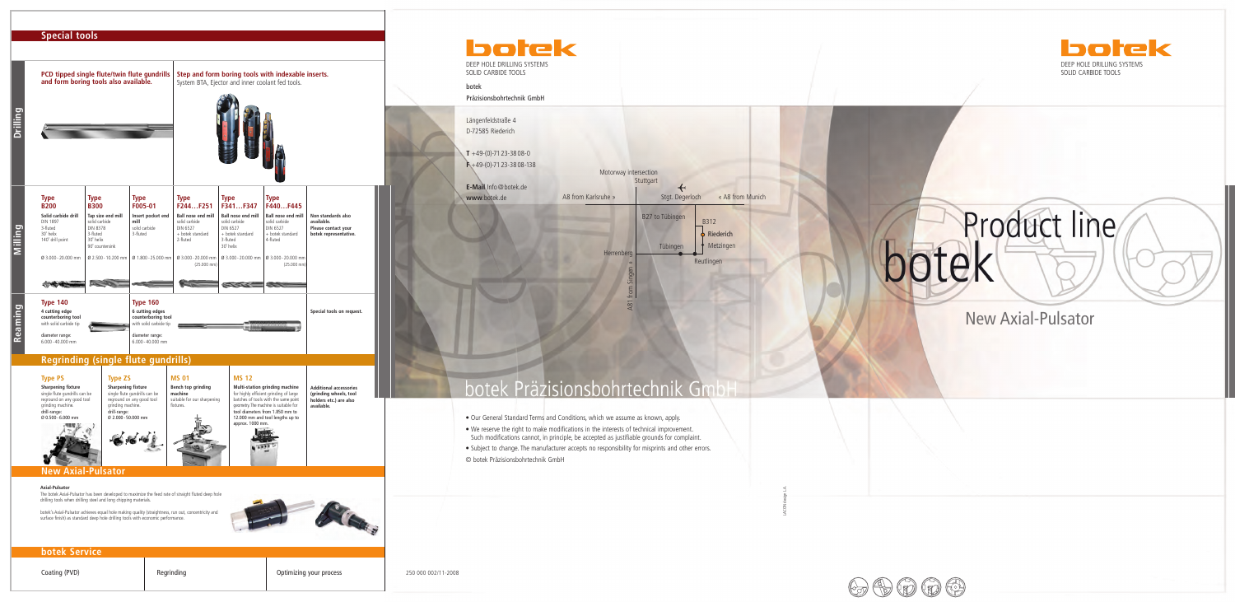250 000 002/11-2008

#### botek Präzisionsbohrtechnik GmbH

 $T + 49-(0) - 7123 - 3808 - 0$ **F** +49-(0)-71 23-38 08-138

Längenfeldstraße 4 D-72585 Riederich



HerrenbergA81 from Singen »  $from$  $\overline{81}$ 

# botek Präzisionsbohrtechnik Gm

**E-Mail** Info@botek.de **www**.botek.de

Motorway intersection

## **Special tools**

**Bench top grinding machine** suitable for our sharpening fixtures.



**Multi-station grinding machine** for highly efficient grinding of large batches of tools with the same point geometry.The machine is suitable for tool diameters from 1.850 mm to 12.000 mm and tool lengths up to



#### **Additional accessories (grinding wheels, tool holders etc.) are also available.**

#### **MS 01 Type ZS Sharpening fixture** single flute gundrills can be reground on any good tool grinding machine. drill-range:



Ø 2.000 - 50.000 mm

### **botek Service**

**Type PS Sharpening fixture** single flute gundrills can be reground on any good tool grinding machine. drill-range: Ø 0.500 - 6.000 mm



#### **Axial-Pulsator**

The botek Axial-Pulsator has been developed to maximize the feed rate of straight fluted deep hole drilling tools when drilling steel and long chipping materials.

botek's Axial-Pulsator achieves equal hole making quality (straightness, run out, concentricity and surface finish) as standard deep hole drilling tools with economic performance.



#### Coating (PVD)

Regrinding **National Contract Contract Process** 

**New Axial-Pulsator**

## **Regrinding (single flute gundrills)**



SOLID CARBIDE TOOLS



- Our General Standard Terms and Conditions, which we assume as known, apply.
- We reserve the right to make modifications in the interests of technical improvement. Such modifications cannot, in principle, be accepted as justifiable grounds for complaint.
- Subject to change. The manufacturer accepts no responsibility for misprints and other errors. © botek Präzisionsbohrtechnik GmbH